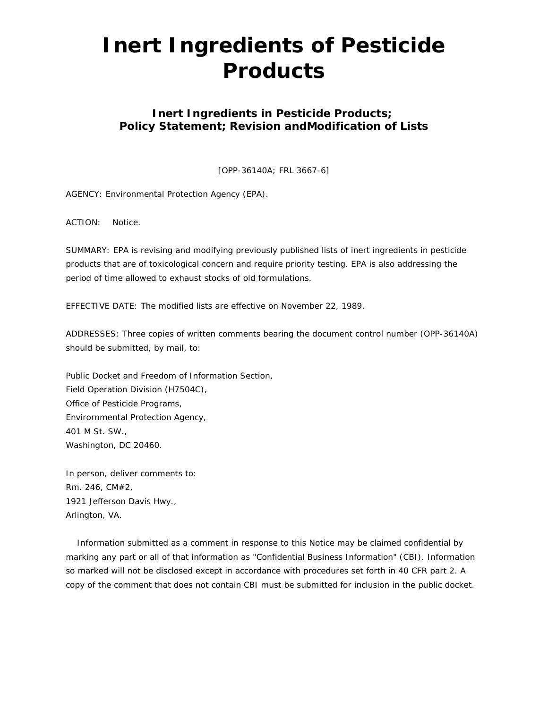# **Inert Ingredients of Pesticide Products**

# **Inert Ingredients in Pesticide Products; Policy Statement; Revision andModification of Lists**

[OPP-36140A; FRL 3667-6]

AGENCY: Environmental Protection Agency (EPA).

ACTION: Notice.

SUMMARY: EPA is revising and modifying previously published lists of inert ingredients in pesticide products that are of toxicological concern and require priority testing. EPA is also addressing the period of time allowed to exhaust stocks of old formulations.

EFFECTIVE DATE: The modified lists are effective on November 22, 1989.

ADDRESSES: Three copies of written comments bearing the document control number (OPP-36140A) should be submitted, by mail, to:

Public Docket and Freedom of Information Section, Field Operation Division (H7504C), Office of Pesticide Programs, Envirornmental Protection Agency, 401 M St. SW., Washington, DC 20460.

In person, deliver comments to: Rm. 246, CM#2, 1921 Jefferson Davis Hwy., Arlington, VA.

 Information submitted as a comment in response to this Notice may be claimed confidential by marking any part or all of that information as "Confidential Business Information" (CBI). Information so marked will not be disclosed except in accordance with procedures set forth in 40 CFR part 2. A copy of the comment that does not contain CBI must be submitted for inclusion in the public docket.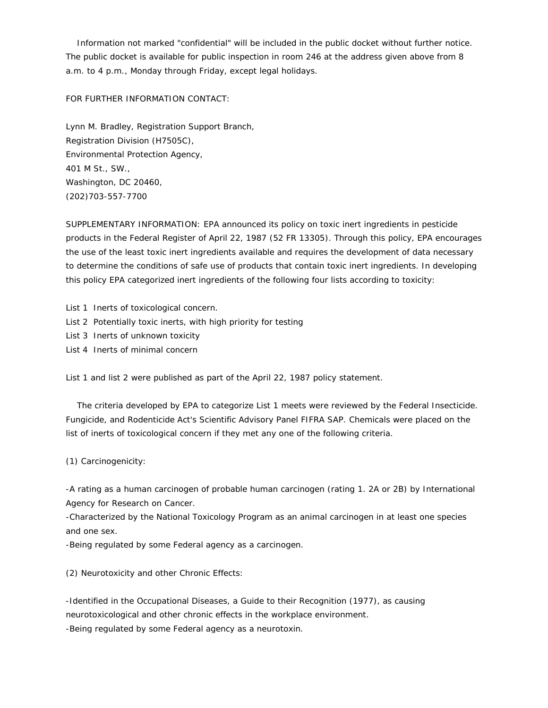Information not marked "confidential" will be included in the public docket without further notice. The public docket is available for public inspection in room 246 at the address given above from 8 a.m. to 4 p.m., Monday through Friday, except legal holidays.

FOR FURTHER INFORMATION CONTACT:

Lynn M. Bradley, Registration Support Branch, Registration Division (H7505C), Environmental Protection Agency, 401 M St., SW., Washington, DC 20460, (202)703-557-7700

SUPPLEMENTARY INFORMATION: EPA announced its policy on toxic inert ingredients in pesticide products in the Federal Register of April 22, 1987 (52 FR 13305). Through this policy, EPA encourages the use of the least toxic inert ingredients available and requires the development of data necessary to determine the conditions of safe use of products that contain toxic inert ingredients. In developing this policy EPA categorized inert ingredients of the following four lists according to toxicity:

- List 1 Inerts of toxicological concern.
- List 2 Potentially toxic inerts, with high priority for testing
- List 3 Inerts of unknown toxicity
- List 4 Inerts of minimal concern

List 1 and list 2 were published as part of the April 22, 1987 policy statement.

 The criteria developed by EPA to categorize List 1 meets were reviewed by the Federal Insecticide. Fungicide, and Rodenticide Act's Scientific Advisory Panel FIFRA SAP. Chemicals were placed on the list of inerts of toxicological concern if they met any one of the following criteria.

(1) Carcinogenicity:

-A rating as a human carcinogen of probable human carcinogen (rating 1. 2A or 2B) by International Agency for Research on Cancer.

-Characterized by the National Toxicology Program as an animal carcinogen in at least one species and one sex.

-Being regulated by some Federal agency as a carcinogen.

(2) Neurotoxicity and other Chronic Effects:

-Identified in the Occupational Diseases, a Guide to their Recognition (1977), as causing neurotoxicological and other chronic effects in the workplace environment. -Being regulated by some Federal agency as a neurotoxin.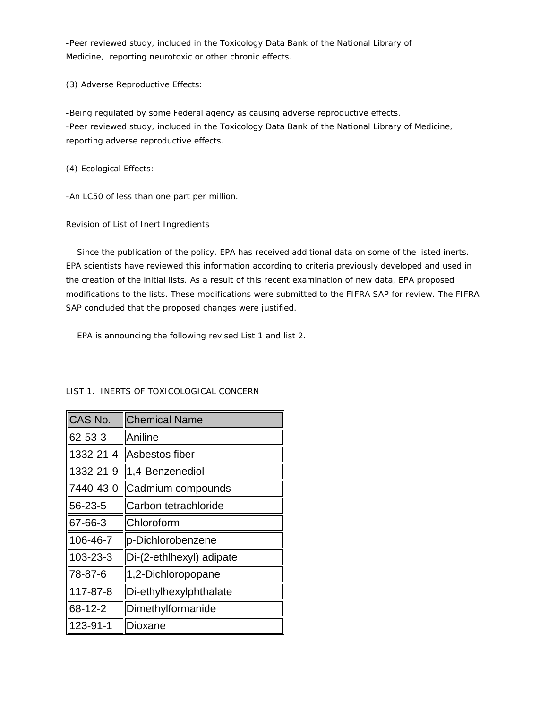-Peer reviewed study, included in the Toxicology Data Bank of the National Library of Medicine, reporting neurotoxic or other chronic effects.

(3) Adverse Reproductive Effects:

-Being regulated by some Federal agency as causing adverse reproductive effects. -Peer reviewed study, included in the Toxicology Data Bank of the National Library of Medicine, reporting adverse reproductive effects.

(4) Ecological Effects:

-An LC50 of less than one part per million.

Revision of List of Inert Ingredients

 Since the publication of the policy. EPA has received additional data on some of the listed inerts. EPA scientists have reviewed this information according to criteria previously developed and used in the creation of the initial lists. As a result of this recent examination of new data, EPA proposed modifications to the lists. These modifications were submitted to the FIFRA SAP for review. The FIFRA SAP concluded that the proposed changes were justified.

EPA is announcing the following revised List 1 and list 2.

| CAS No.   | <b>Chemical Name</b>     |
|-----------|--------------------------|
| 62-53-3   | Aniline                  |
| 1332-21-4 | Asbestos fiber           |
| 1332-21-9 | 1,4-Benzenediol          |
| 7440-43-0 | Cadmium compounds        |
| 56-23-5   | Carbon tetrachloride     |
| 67-66-3   | Chloroform               |
| 106-46-7  | p-Dichlorobenzene        |
| 103-23-3  | Di-(2-ethlhexyl) adipate |
| 78-87-6   | 1,2-Dichloropopane       |
| 117-87-8  | Di-ethylhexylphthalate   |
| 68-12-2   | Dimethylformanide        |
| 123-91-1  | Dioxane                  |

LIST 1. INERTS OF TOXICOLOGICAL CONCERN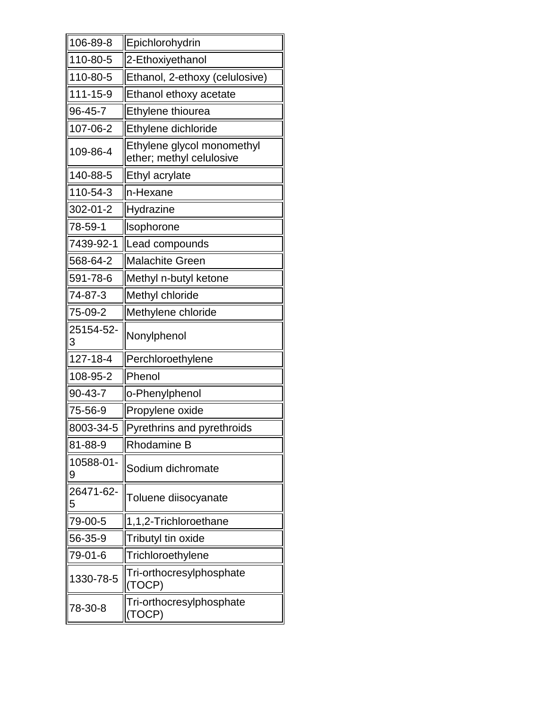| 106-89-8       | Epichlorohydrin                                        |
|----------------|--------------------------------------------------------|
| 110-80-5       | 2-Ethoxiyethanol                                       |
| 110-80-5       | Ethanol, 2-ethoxy (celulosive)                         |
| 111-15-9       | Ethanol ethoxy acetate                                 |
| 96-45-7        | Ethylene thiourea                                      |
| 107-06-2       | Ethylene dichloride                                    |
| 109-86-4       | Ethylene glycol monomethyl<br>ether; methyl celulosive |
| 140-88-5       | Ethyl acrylate                                         |
| 110-54-3       | n-Hexane                                               |
| 302-01-2       | Hydrazine                                              |
| 78-59-1        | Isophorone                                             |
| 7439-92-1      | Lead compounds                                         |
| 568-64-2       | <b>Malachite Green</b>                                 |
| 591-78-6       | Methyl n-butyl ketone                                  |
| 74-87-3        | Methyl chloride                                        |
| 75-09-2        | Methylene chloride                                     |
| 25154-52-<br>3 | Nonylphenol                                            |
| 127-18-4       | Perchloroethylene                                      |
| 108-95-2       | Phenol                                                 |
| 90-43-7        | o-Phenylphenol                                         |
| 75-56-9        | Propylene oxide                                        |
| 8003-34-5      | Pyrethrins and pyrethroids                             |
| 81-88-9        | <b>Rhodamine B</b>                                     |
| 10588-01-<br>9 | Sodium dichromate                                      |
| 26471-62-<br>5 | Toluene diisocyanate                                   |
| 79-00-5        | 1,1,2-Trichloroethane                                  |
| 56-35-9        | Tributyl tin oxide                                     |
| 79-01-6        | Trichloroethylene                                      |
| 1330-78-5      | Tri-orthocresylphosphate<br>(TOCP)                     |
| 78-30-8        | Tri-orthocresylphosphate<br>(TOCP)                     |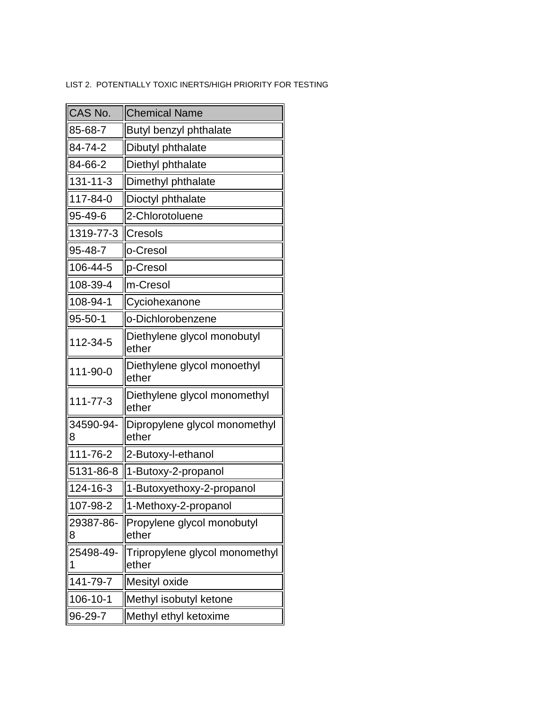# LIST 2. POTENTIALLY TOXIC INERTS/HIGH PRIORITY FOR TESTING

| CAS No.        | <b>Chemical Name</b>                    |
|----------------|-----------------------------------------|
| 85-68-7        | <b>Butyl benzyl phthalate</b>           |
| 84-74-2        | Dibutyl phthalate                       |
| 84-66-2        | Diethyl phthalate                       |
| 131-11-3       | Dimethyl phthalate                      |
| 117-84-0       | Dioctyl phthalate                       |
| 95-49-6        | 2-Chlorotoluene                         |
| 1319-77-3      | Cresols                                 |
| 95-48-7        | o-Cresol                                |
| 106-44-5       | p-Cresol                                |
| 108-39-4       | m-Cresol                                |
| 108-94-1       | Cyciohexanone                           |
| $95 - 50 - 1$  | o-Dichlorobenzene                       |
| 112-34-5       | Diethylene glycol monobutyl<br>ether    |
| 111-90-0       | Diethylene glycol monoethyl<br>ether    |
| $111 - 77 - 3$ | Diethylene glycol monomethyl<br>ether   |
| 34590-94-<br>8 | Dipropylene glycol monomethyl<br>ether  |
| 111-76-2       | 2-Butoxy-l-ethanol                      |
| 5131-86-8      | 1-Butoxy-2-propanol                     |
| 124-16-3       | 1-Butoxyethoxy-2-propanol               |
| 107-98-2       | 1-Methoxy-2-propanol                    |
| 29387-86-<br>8 | Propylene glycol monobutyl<br>ether     |
| 25498-49-<br>1 | Tripropylene glycol monomethyl<br>ether |
| 141-79-7       | Mesityl oxide                           |
| 106-10-1       | Methyl isobutyl ketone                  |
| 96-29-7        | Methyl ethyl ketoxime                   |
|                |                                         |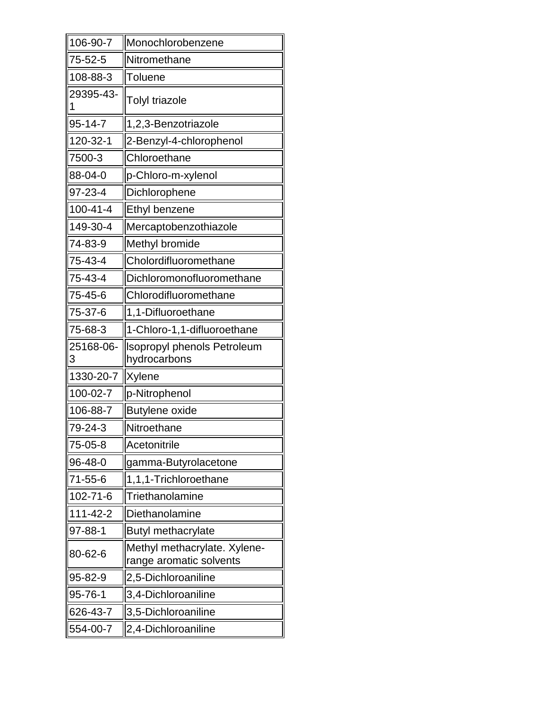| 106-90-7       | Monochlorobenzene                                       |
|----------------|---------------------------------------------------------|
| 75-52-5        | Nitromethane                                            |
| 108-88-3       | Toluene                                                 |
| 29395-43-<br>1 | <b>Tolyl triazole</b>                                   |
| 95-14-7        | 1,2,3-Benzotriazole                                     |
| 120-32-1       | 2-Benzyl-4-chlorophenol                                 |
| 7500-3         | Chloroethane                                            |
| 88-04-0        | p-Chloro-m-xylenol                                      |
| 97-23-4        | Dichlorophene                                           |
| $100 - 41 - 4$ | Ethyl benzene                                           |
| 149-30-4       | Mercaptobenzothiazole                                   |
| 74-83-9        | Methyl bromide                                          |
| 75-43-4        | Cholordifluoromethane                                   |
| 75-43-4        | Dichloromonofluoromethane                               |
| 75-45-6        | Chlorodifluoromethane                                   |
| 75-37-6        | 1,1-Difluoroethane                                      |
| 75-68-3        | 1-Chloro-1,1-difluoroethane                             |
|                |                                                         |
| 25168-06-<br>3 | <b>Isopropyl phenols Petroleum</b><br>hydrocarbons      |
| 1330-20-7      | Xylene                                                  |
| 100-02-7       | p-Nitrophenol                                           |
| 106-88-7       | <b>Butylene oxide</b>                                   |
| 79-24-3        | Nitroethane                                             |
| 75-05-8        | Acetonitrile                                            |
| 96-48-0        | gamma-Butyrolacetone                                    |
| 71-55-6        | 1,1,1-Trichloroethane                                   |
| 102-71-6       | Triethanolamine                                         |
| 111-42-2       | Diethanolamine                                          |
| 97-88-1        | <b>Butyl methacrylate</b>                               |
| 80-62-6        | Methyl methacrylate. Xylene-<br>range aromatic solvents |
| 95-82-9        | 2,5-Dichloroaniline                                     |
| 95-76-1        | 3,4-Dichloroaniline                                     |
| 626-43-7       | 3,5-Dichloroaniline                                     |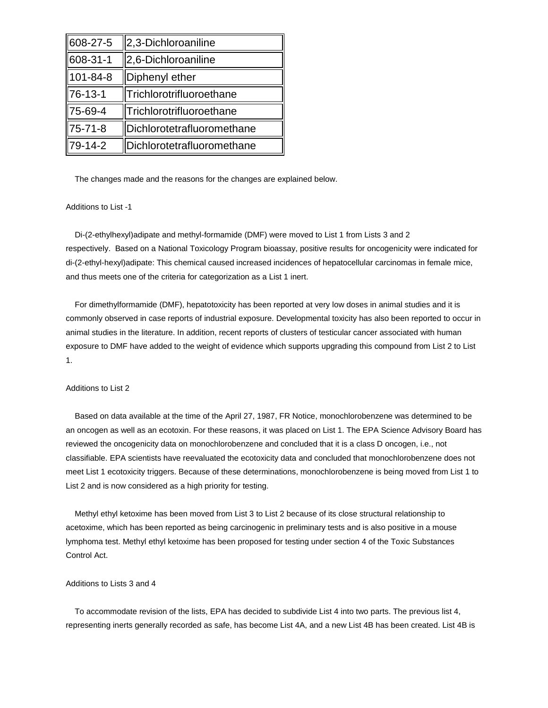| 608-27-5 | 2,3-Dichloroaniline        |
|----------|----------------------------|
| 608-31-1 | 2,6-Dichloroaniline        |
| 101-84-8 | Diphenyl ether             |
| 76-13-1  | Trichlorotrifluoroethane   |
| 75-69-4  | Trichlorotrifluoroethane   |
| 75-71-8  | Dichlorotetrafluoromethane |
| 79-14-2  | Dichlorotetrafluoromethane |

The changes made and the reasons for the changes are explained below.

## Additions to List -1

 Di-(2-ethylhexyl)adipate and methyl-formamide (DMF) were moved to List 1 from Lists 3 and 2 respectively. Based on a National Toxicology Program bioassay, positive results for oncogenicity were indicated for di-(2-ethyl-hexyl)adipate: This chemical caused increased incidences of hepatocellular carcinomas in female mice, and thus meets one of the criteria for categorization as a List 1 inert.

 For dimethylformamide (DMF), hepatotoxicity has been reported at very low doses in animal studies and it is commonly observed in case reports of industrial exposure. Developmental toxicity has also been reported to occur in animal studies in the literature. In addition, recent reports of clusters of testicular cancer associated with human exposure to DMF have added to the weight of evidence which supports upgrading this compound from List 2 to List 1.

# Additions to List 2

 Based on data available at the time of the April 27, 1987, FR Notice, monochlorobenzene was determined to be an oncogen as well as an ecotoxin. For these reasons, it was placed on List 1. The EPA Science Advisory Board has reviewed the oncogenicity data on monochlorobenzene and concluded that it is a class D oncogen, i.e., not classifiable. EPA scientists have reevaluated the ecotoxicity data and concluded that monochlorobenzene does not meet List 1 ecotoxicity triggers. Because of these determinations, monochlorobenzene is being moved from List 1 to List 2 and is now considered as a high priority for testing.

 Methyl ethyl ketoxime has been moved from List 3 to List 2 because of its close structural relationship to acetoxime, which has been reported as being carcinogenic in preliminary tests and is also positive in a mouse lymphoma test. Methyl ethyl ketoxime has been proposed for testing under section 4 of the Toxic Substances Control Act.

### Additions to Lists 3 and 4

 To accommodate revision of the lists, EPA has decided to subdivide List 4 into two parts. The previous list 4, representing inerts generally recorded as safe, has become List 4A, and a new List 4B has been created. List 4B is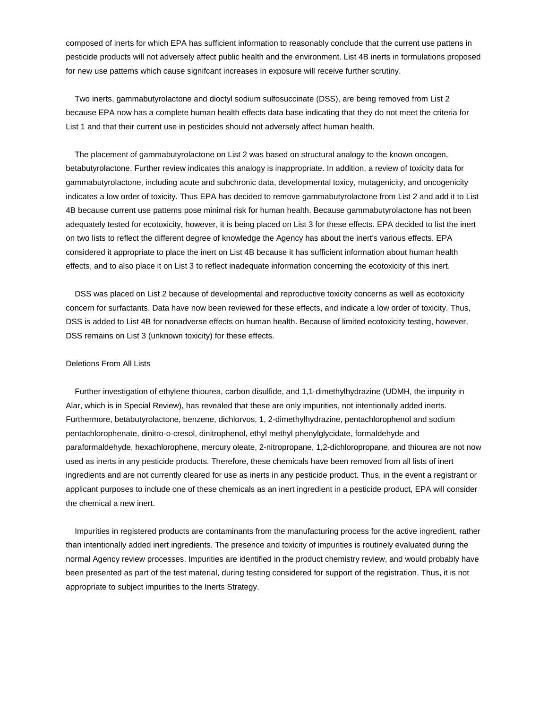composed of inerts for which EPA has sufficient information to reasonably conclude that the current use pattens in pesticide products will not adversely affect public health and the environment. List 4B inerts in formulations proposed for new use pattems which cause signifcant increases in exposure will receive further scrutiny.

 Two inerts, gammabutyrolactone and dioctyl sodium sulfosuccinate (DSS), are being removed from List 2 because EPA now has a complete human health effects data base indicating that they do not meet the criteria for List 1 and that their current use in pesticides should not adversely affect human health.

 The placement of gammabutyrolactone on List 2 was based on structural analogy to the known oncogen, betabutyrolactone. Further review indicates this analogy is inappropriate. In addition, a review of toxicity data for gammabutyrolactone, including acute and subchronic data, developmental toxicy, mutagenicity, and oncogenicity indicates a low order of toxicity. Thus EPA has decided to remove gammabutyrolactone from List 2 and add it to List 4B because current use pattems pose minimal risk for human health. Because gammabutyrolactone has not been adequately tested for ecotoxicity, however, it is being placed on List 3 for these effects. EPA decided to list the inert on two lists to reflect the different degree of knowledge the Agency has about the inert's various effects. EPA considered it appropriate to place the inert on List 4B because it has sufficient information about human health effects, and to also place it on List 3 to reflect inadequate information concerning the ecotoxicity of this inert.

 DSS was placed on List 2 because of developmental and reproductive toxicity concerns as well as ecotoxicity concern for surfactants. Data have now been reviewed for these effects, and indicate a low order of toxicity. Thus, DSS is added to List 4B for nonadverse effects on human health. Because of limited ecotoxicity testing, however, DSS remains on List 3 (unknown toxicity) for these effects.

#### Deletions From All Lists

 Further investigation of ethylene thiourea, carbon disulfide, and 1,1-dimethylhydrazine (UDMH, the impurity in Alar, which is in Special Review), has revealed that these are only impurities, not intentionally added inerts. Furthermore, betabutyrolactone, benzene, dichlorvos, 1, 2-dimethylhydrazine, pentachlorophenol and sodium pentachlorophenate, dinitro-o-cresol, dinitrophenol, ethyl methyl phenylglycidate, formaldehyde and paraformaldehyde, hexachlorophene, mercury oleate, 2-nitropropane, 1,2-dichloropropane, and thiourea are not now used as inerts in any pesticide products. Therefore, these chemicals have been removed from all lists of inert ingredients and are not currently cleared for use as inerts in any pesticide product. Thus, in the event a registrant or applicant purposes to include one of these chemicals as an inert ingredient in a pesticide product, EPA will consider the chemical a new inert.

 Impurities in registered products are contaminants from the manufacturing process for the active ingredient, rather than intentionally added inert ingredients. The presence and toxicity of impurities is routinely evaluated during the normal Agency review processes. Impurities are identified in the product chemistry review, and would probably have been presented as part of the test material, during testing considered for support of the registration. Thus, it is not appropriate to subject impurities to the Inerts Strategy.